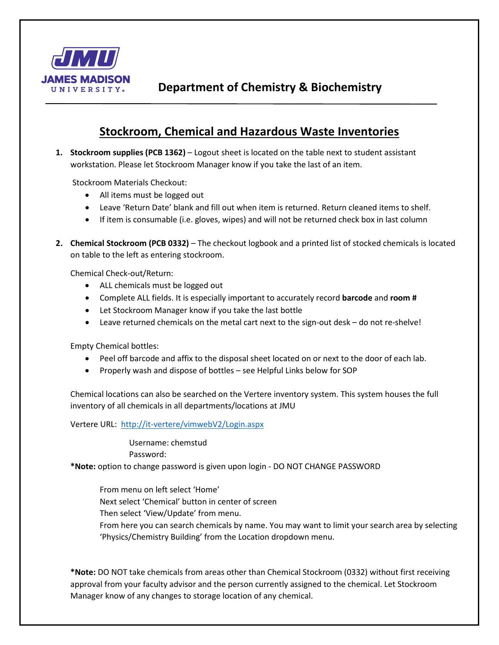

## **Stockroom, Chemical and Hazardous Waste Inventories**

**1. Stockroom supplies (PCB 1362)** – Logout sheet is located on the table next to student assistant workstation. Please let Stockroom Manager know if you take the last of an item.

Stockroom Materials Checkout:

- All items must be logged out
- Leave 'Return Date' blank and fill out when item is returned. Return cleaned items to shelf.
- If item is consumable (i.e. gloves, wipes) and will not be returned check box in last column
- **2. Chemical Stockroom (PCB 0332)** The checkout logbook and a printed list of stocked chemicals is located on table to the left as entering stockroom.

Chemical Check-out/Return:

- ALL chemicals must be logged out
- Complete ALL fields. It is especially important to accurately record **barcode** and **room #**
- Let Stockroom Manager know if you take the last bottle
- Leave returned chemicals on the metal cart next to the sign-out desk do not re-shelve!

Empty Chemical bottles:

- Peel off barcode and affix to the disposal sheet located on or next to the door of each lab.
- Properly wash and dispose of bottles see Helpful Links below for SOP

Chemical locations can also be searched on the Vertere inventory system. This system houses the full inventory of all chemicals in all departments/locations at JMU

Vertere URL:<http://it-vertere/vimwebV2/Login.aspx>

Username: chemstud

Password:

**\*Note:** option to change password is given upon login - DO NOT CHANGE PASSWORD

From menu on left select 'Home' Next select 'Chemical' button in center of screen Then select 'View/Update' from menu. From here you can search chemicals by name. You may want to limit your search area by selecting 'Physics/Chemistry Building' from the Location dropdown menu.

**\*Note:** DO NOT take chemicals from areas other than Chemical Stockroom (0332) without first receiving approval from your faculty advisor and the person currently assigned to the chemical. Let Stockroom Manager know of any changes to storage location of any chemical.